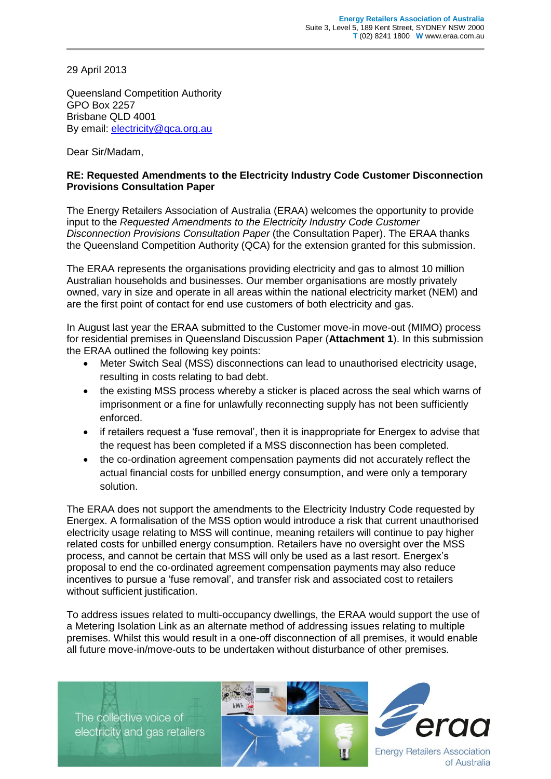29 April 2013

Queensland Competition Authority GPO Box 2257 Brisbane QLD 4001 By email: [electricity@qca.org.au](mailto:electricity@qca.org.au)

Dear Sir/Madam,

## **RE: Requested Amendments to the Electricity Industry Code Customer Disconnection Provisions Consultation Paper**

The Energy Retailers Association of Australia (ERAA) welcomes the opportunity to provide input to the *Requested Amendments to the Electricity Industry Code Customer Disconnection Provisions Consultation Paper* (the Consultation Paper). The ERAA thanks the Queensland Competition Authority (QCA) for the extension granted for this submission.

The ERAA represents the organisations providing electricity and gas to almost 10 million Australian households and businesses. Our member organisations are mostly privately owned, vary in size and operate in all areas within the national electricity market (NEM) and are the first point of contact for end use customers of both electricity and gas.

In August last year the ERAA submitted to the Customer move-in move-out (MIMO) process for residential premises in Queensland Discussion Paper (**Attachment 1**). In this submission the ERAA outlined the following key points:

- Meter Switch Seal (MSS) disconnections can lead to unauthorised electricity usage, resulting in costs relating to bad debt.
- the existing MSS process whereby a sticker is placed across the seal which warns of imprisonment or a fine for unlawfully reconnecting supply has not been sufficiently enforced.
- if retailers request a 'fuse removal', then it is inappropriate for Energex to advise that the request has been completed if a MSS disconnection has been completed.
- the co-ordination agreement compensation payments did not accurately reflect the actual financial costs for unbilled energy consumption, and were only a temporary solution.

The ERAA does not support the amendments to the Electricity Industry Code requested by Energex. A formalisation of the MSS option would introduce a risk that current unauthorised electricity usage relating to MSS will continue, meaning retailers will continue to pay higher related costs for unbilled energy consumption. Retailers have no oversight over the MSS process, and cannot be certain that MSS will only be used as a last resort. Energex's proposal to end the co-ordinated agreement compensation payments may also reduce incentives to pursue a 'fuse removal', and transfer risk and associated cost to retailers without sufficient justification.

To address issues related to multi-occupancy dwellings, the ERAA would support the use of a Metering Isolation Link as an alternate method of addressing issues relating to multiple premises. Whilst this would result in a one-off disconnection of all premises, it would enable all future move-in/move-outs to be undertaken without disturbance of other premises.

The collective voice of electricity and gas retailers





**Energy Retailers Association** of Australia